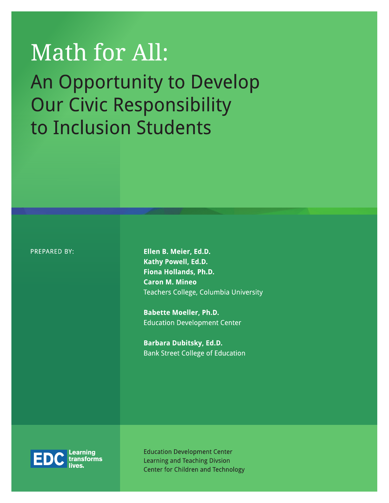# Math for All: An Opportunity to Develop Our Civic Responsibility to Inclusion Students

PREPARED BY:

Ellen B. Meier, Ed.D. Kathy Powell, Ed.D. Fiona Hollands, Ph.D. **Caron M. Mineo** Teachers College, Columbia University

**Babette Moeller, Ph.D. Education Development Center** 

Barbara Dubitsky, Ed.D. **Bank Street College of Education** 



**Education Development Center Learning and Teaching Divsion Center for Children and Technology**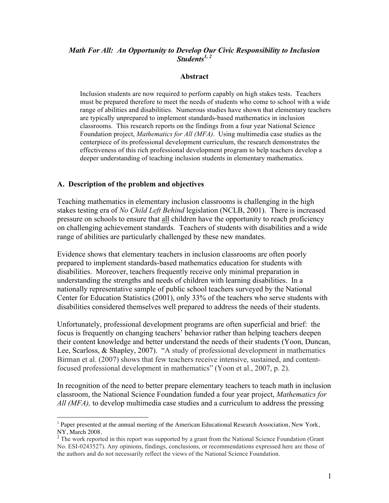#### *Math For All: An Opportunity to Develop Our Civic Responsibility to Inclusion Students1, <sup>2</sup>*

#### **Abstract**

Inclusion students are now required to perform capably on high stakes tests. Teachers must be prepared therefore to meet the needs of students who come to school with a wide range of abilities and disabilities. Numerous studies have shown that elementary teachers are typically unprepared to implement standards-based mathematics in inclusion classrooms. This research reports on the findings from a four year National Science Foundation project, *Mathematics for All (MFA)*. Using multimedia case studies as the centerpiece of its professional development curriculum, the research demonstrates the effectiveness of this rich professional development program to help teachers develop a deeper understanding of teaching inclusion students in elementary mathematics.

#### **A. Description of the problem and objectives**

 $\overline{a}$ 

Teaching mathematics in elementary inclusion classrooms is challenging in the high stakes testing era of *No Child Left Behind* legislation (NCLB, 2001). There is increased pressure on schools to ensure that all children have the opportunity to reach proficiency on challenging achievement standards. Teachers of students with disabilities and a wide range of abilities are particularly challenged by these new mandates.

Evidence shows that elementary teachers in inclusion classrooms are often poorly prepared to implement standards-based mathematics education for students with disabilities. Moreover, teachers frequently receive only minimal preparation in understanding the strengths and needs of children with learning disabilities. In a nationally representative sample of public school teachers surveyed by the National Center for Education Statistics (2001), only 33% of the teachers who serve students with disabilities considered themselves well prepared to address the needs of their students.

Unfortunately, professional development programs are often superficial and brief: the focus is frequently on changing teachers' behavior rather than helping teachers deepen their content knowledge and better understand the needs of their students (Yoon, Duncan, Lee, Scarloss, & Shapley, 2007). "A study of professional development in mathematics Birman et al. (2007) shows that few teachers receive intensive, sustained, and contentfocused professional development in mathematics" (Yoon et al., 2007, p. 2).

In recognition of the need to better prepare elementary teachers to teach math in inclusion classroom, the National Science Foundation funded a four year project, *Mathematics for All (MFA),* to develop multimedia case studies and a curriculum to address the pressing

 $<sup>1</sup>$  Paper presented at the annual meeting of the American Educational Research Association, New York,</sup> NY, March 2008.<br><sup>2</sup> The work reported in this report was supported by a grant from the National Science Foundation (Grant

No. ESI-0243527). Any opinions, findings, conclusions, or recommendations expressed here are those of the authors and do not necessarily reflect the views of the National Science Foundation.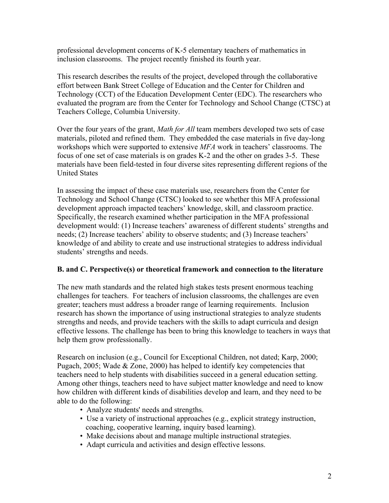professional development concerns of K-5 elementary teachers of mathematics in inclusion classrooms. The project recently finished its fourth year.

This research describes the results of the project, developed through the collaborative effort between Bank Street College of Education and the Center for Children and Technology (CCT) of the Education Development Center (EDC). The researchers who evaluated the program are from the Center for Technology and School Change (CTSC) at Teachers College, Columbia University.

Over the four years of the grant, *Math for All* team members developed two sets of case materials, piloted and refined them. They embedded the case materials in five day-long workshops which were supported to extensive *MFA* work in teachers' classrooms. The focus of one set of case materials is on grades K-2 and the other on grades 3-5. These materials have been field-tested in four diverse sites representing different regions of the United States

In assessing the impact of these case materials use, researchers from the Center for Technology and School Change (CTSC) looked to see whether this MFA professional development approach impacted teachers' knowledge, skill, and classroom practice. Specifically, the research examined whether participation in the MFA professional development would: (1) Increase teachers' awareness of different students' strengths and needs; (2) Increase teachers' ability to observe students; and (3) Increase teachers' knowledge of and ability to create and use instructional strategies to address individual students' strengths and needs.

# **B. and C. Perspective(s) or theoretical framework and connection to the literature**

The new math standards and the related high stakes tests present enormous teaching challenges for teachers. For teachers of inclusion classrooms, the challenges are even greater; teachers must address a broader range of learning requirements. Inclusion research has shown the importance of using instructional strategies to analyze students strengths and needs, and provide teachers with the skills to adapt curricula and design effective lessons. The challenge has been to bring this knowledge to teachers in ways that help them grow professionally.

Research on inclusion (e.g., Council for Exceptional Children, not dated; Karp, 2000; Pugach, 2005; Wade & Zone, 2000) has helped to identify key competencies that teachers need to help students with disabilities succeed in a general education setting. Among other things, teachers need to have subject matter knowledge and need to know how children with different kinds of disabilities develop and learn, and they need to be able to do the following:

- Analyze students' needs and strengths.
- Use a variety of instructional approaches (e.g., explicit strategy instruction, coaching, cooperative learning, inquiry based learning).
- Make decisions about and manage multiple instructional strategies.
- Adapt curricula and activities and design effective lessons.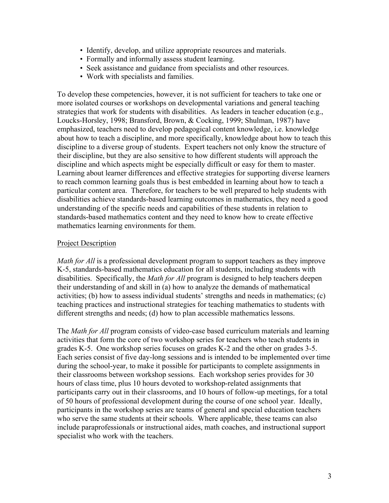- Identify, develop, and utilize appropriate resources and materials.
- Formally and informally assess student learning.
- Seek assistance and guidance from specialists and other resources.
- Work with specialists and families.

To develop these competencies, however, it is not sufficient for teachers to take one or more isolated courses or workshops on developmental variations and general teaching strategies that work for students with disabilities. As leaders in teacher education (e.g., Loucks-Horsley, 1998; Bransford, Brown, & Cocking, 1999; Shulman, 1987) have emphasized, teachers need to develop pedagogical content knowledge, i.e. knowledge about how to teach a discipline, and more specifically, knowledge about how to teach this discipline to a diverse group of students. Expert teachers not only know the structure of their discipline, but they are also sensitive to how different students will approach the discipline and which aspects might be especially difficult or easy for them to master. Learning about learner differences and effective strategies for supporting diverse learners to reach common learning goals thus is best embedded in learning about how to teach a particular content area. Therefore, for teachers to be well prepared to help students with disabilities achieve standards-based learning outcomes in mathematics, they need a good understanding of the specific needs and capabilities of these students in relation to standards-based mathematics content and they need to know how to create effective mathematics learning environments for them.

## Project Description

*Math for All* is a professional development program to support teachers as they improve K-5, standards-based mathematics education for all students, including students with disabilities. Specifically, the *Math for All* program is designed to help teachers deepen their understanding of and skill in (a) how to analyze the demands of mathematical activities; (b) how to assess individual students' strengths and needs in mathematics; (c) teaching practices and instructional strategies for teaching mathematics to students with different strengths and needs; (d) how to plan accessible mathematics lessons.

The *Math for All* program consists of video-case based curriculum materials and learning activities that form the core of two workshop series for teachers who teach students in grades K-5. One workshop series focuses on grades K-2 and the other on grades 3-5. Each series consist of five day-long sessions and is intended to be implemented over time during the school-year, to make it possible for participants to complete assignments in their classrooms between workshop sessions. Each workshop series provides for 30 hours of class time, plus 10 hours devoted to workshop-related assignments that participants carry out in their classrooms, and 10 hours of follow-up meetings, for a total of 50 hours of professional development during the course of one school year. Ideally, participants in the workshop series are teams of general and special education teachers who serve the same students at their schools. Where applicable, these teams can also include paraprofessionals or instructional aides, math coaches, and instructional support specialist who work with the teachers.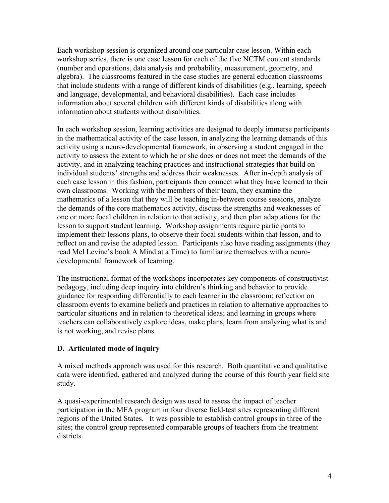Each workshop session is organized around one particular case lesson. Within each workshop series, there is one case lesson for each of the five NCTM content standards (number and operations, data analysis and probability, measurement, geometry, and algebra). The classrooms featured in the case studies are general education classrooms that include students with a range of different kinds of disabilities (e.g., learning, speech and language, developmental, and behavioral disabilities). Each case includes information about several children with different kinds of disabilities along with information about students without disabilities.

In each workshop session, learning activities are designed to deeply immerse participants in the mathematical activity of the case lesson, in analyzing the learning demands of this activity using a neuro-developmental framework, in observing a student engaged in the activity to assess the extent to which he or she does or does not meet the demands of the activity, and in analyzing teaching practices and instructional strategies that build on individual students' strengths and address their weaknesses. After in-depth analysis of each case lesson in this fashion, participants then connect what they have learned to their own classrooms. Working with the members of their team, they examine the mathematics of a lesson that they will be teaching in-between course sessions, analyze the demands of the core mathematics activity, discuss the strengths and weaknesses of one or more focal children in relation to that activity, and then plan adaptations for the lesson to support student learning. Workshop assignments require participants to implement their lessons plans, to observe their focal students within that lesson, and to reflect on and revise the adapted lesson. Participants also have reading assignments (they read Mel Levine's book A Mind at a Time) to familiarize themselves with a neurodevelopmental framework of learning.

The instructional format of the workshops incorporates key components of constructivist pedagogy, including deep inquiry into children's thinking and behavior to provide guidance for responding differentially to each learner in the classroom; reflection on classroom events to examine beliefs and practices in relation to alternative approaches to particular situations and in relation to theoretical ideas; and learning in groups where teachers can collaboratively explore ideas, make plans, learn from analyzing what is and is not working, and revise plans.

# **D. Articulated mode of inquiry**

A mixed methods approach was used for this research. Both quantitative and qualitative data were identified, gathered and analyzed during the course of this fourth year field site study.

A quasi-experimental research design was used to assess the impact of teacher participation in the MFA program in four diverse field-test sites representing different regions of the United States. It was possible to establish control groups in three of the sites; the control group represented comparable groups of teachers from the treatment districts.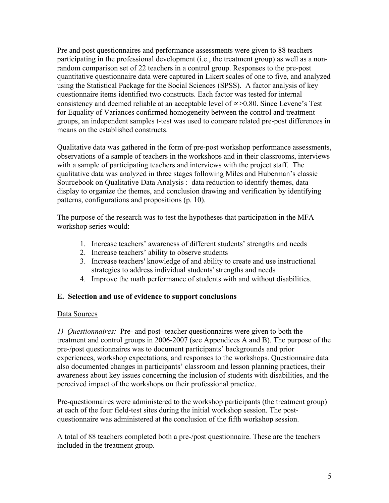Pre and post questionnaires and performance assessments were given to 88 teachers participating in the professional development (i.e., the treatment group) as well as a nonrandom comparison set of 22 teachers in a control group. Responses to the pre-post quantitative questionnaire data were captured in Likert scales of one to five, and analyzed using the Statistical Package for the Social Sciences (SPSS). A factor analysis of key questionnaire items identified two constructs. Each factor was tested for internal consistency and deemed reliable at an acceptable level of ∝>0.80. Since Levene's Test for Equality of Variances confirmed homogeneity between the control and treatment groups, an independent samples t-test was used to compare related pre-post differences in means on the established constructs.

Qualitative data was gathered in the form of pre-post workshop performance assessments, observations of a sample of teachers in the workshops and in their classrooms, interviews with a sample of participating teachers and interviews with the project staff. The qualitative data was analyzed in three stages following Miles and Huberman's classic Sourcebook on Qualitative Data Analysis : data reduction to identify themes, data display to organize the themes, and conclusion drawing and verification by identifying patterns, configurations and propositions (p. 10).

The purpose of the research was to test the hypotheses that participation in the MFA workshop series would:

- 1. Increase teachers' awareness of different students' strengths and needs
- 2. Increase teachers' ability to observe students
- 3. Increase teachers' knowledge of and ability to create and use instructional strategies to address individual students' strengths and needs
- 4. Improve the math performance of students with and without disabilities.

#### **E. Selection and use of evidence to support conclusions**

#### Data Sources

*1) Questionnaires:* Pre- and post- teacher questionnaires were given to both the treatment and control groups in 2006-2007 (see Appendices A and B). The purpose of the pre-/post questionnaires was to document participants' backgrounds and prior experiences, workshop expectations, and responses to the workshops. Questionnaire data also documented changes in participants' classroom and lesson planning practices, their awareness about key issues concerning the inclusion of students with disabilities, and the perceived impact of the workshops on their professional practice.

Pre-questionnaires were administered to the workshop participants (the treatment group) at each of the four field-test sites during the initial workshop session. The postquestionnaire was administered at the conclusion of the fifth workshop session.

A total of 88 teachers completed both a pre-/post questionnaire. These are the teachers included in the treatment group.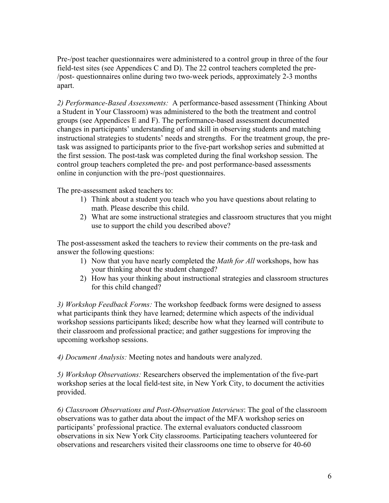Pre-/post teacher questionnaires were administered to a control group in three of the four field-test sites (see Appendices C and D). The 22 control teachers completed the pre- /post- questionnaires online during two two-week periods, approximately 2-3 months apart.

*2) Performance-Based Assessments:* A performance-based assessment (Thinking About a Student in Your Classroom) was administered to the both the treatment and control groups (see Appendices E and F). The performance-based assessment documented changes in participants' understanding of and skill in observing students and matching instructional strategies to students' needs and strengths. For the treatment group, the pretask was assigned to participants prior to the five-part workshop series and submitted at the first session. The post-task was completed during the final workshop session. The control group teachers completed the pre- and post performance-based assessments online in conjunction with the pre-/post questionnaires.

The pre-assessment asked teachers to:

- 1) Think about a student you teach who you have questions about relating to math. Please describe this child.
- 2) What are some instructional strategies and classroom structures that you might use to support the child you described above?

The post-assessment asked the teachers to review their comments on the pre-task and answer the following questions:

- 1) Now that you have nearly completed the *Math for All* workshops, how has your thinking about the student changed?
- 2) How has your thinking about instructional strategies and classroom structures for this child changed?

*3) Workshop Feedback Forms:* The workshop feedback forms were designed to assess what participants think they have learned; determine which aspects of the individual workshop sessions participants liked; describe how what they learned will contribute to their classroom and professional practice; and gather suggestions for improving the upcoming workshop sessions.

*4) Document Analysis:* Meeting notes and handouts were analyzed.

*5) Workshop Observations:* Researchers observed the implementation of the five-part workshop series at the local field-test site, in New York City, to document the activities provided.

*6) Classroom Observations and Post-Observation Interviews*: The goal of the classroom observations was to gather data about the impact of the MFA workshop series on participants' professional practice. The external evaluators conducted classroom observations in six New York City classrooms. Participating teachers volunteered for observations and researchers visited their classrooms one time to observe for 40-60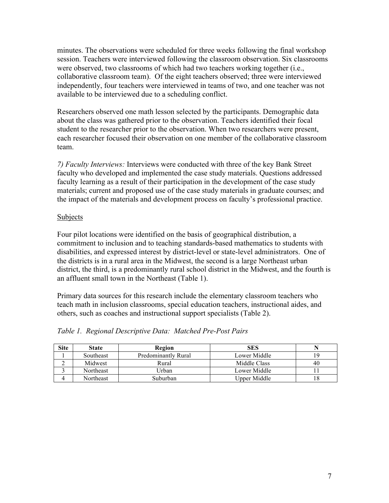minutes. The observations were scheduled for three weeks following the final workshop session. Teachers were interviewed following the classroom observation. Six classrooms were observed, two classrooms of which had two teachers working together (i.e., collaborative classroom team). Of the eight teachers observed; three were interviewed independently, four teachers were interviewed in teams of two, and one teacher was not available to be interviewed due to a scheduling conflict.

Researchers observed one math lesson selected by the participants. Demographic data about the class was gathered prior to the observation. Teachers identified their focal student to the researcher prior to the observation. When two researchers were present, each researcher focused their observation on one member of the collaborative classroom team.

*7) Faculty Interviews:* Interviews were conducted with three of the key Bank Street faculty who developed and implemented the case study materials. Questions addressed faculty learning as a result of their participation in the development of the case study materials; current and proposed use of the case study materials in graduate courses; and the impact of the materials and development process on faculty's professional practice.

## Subjects

Four pilot locations were identified on the basis of geographical distribution, a commitment to inclusion and to teaching standards-based mathematics to students with disabilities, and expressed interest by district-level or state-level administrators. One of the districts is in a rural area in the Midwest, the second is a large Northeast urban district, the third, is a predominantly rural school district in the Midwest, and the fourth is an affluent small town in the Northeast (Table 1).

Primary data sources for this research include the elementary classroom teachers who teach math in inclusion classrooms, special education teachers, instructional aides, and others, such as coaches and instructional support specialists (Table 2).

| <b>Site</b> | <b>State</b> | Region              | <b>SES</b>   |    |
|-------------|--------------|---------------------|--------------|----|
|             | Southeast    | Predominantly Rural | Lower Middle | 19 |
|             | Midwest      | Rural               | Middle Class | 40 |
|             | Northeast    | Urban               | Lower Middle |    |
|             | Northeast    | Suburban            | Upper Middle |    |

*Table 1. Regional Descriptive Data: Matched Pre-Post Pairs*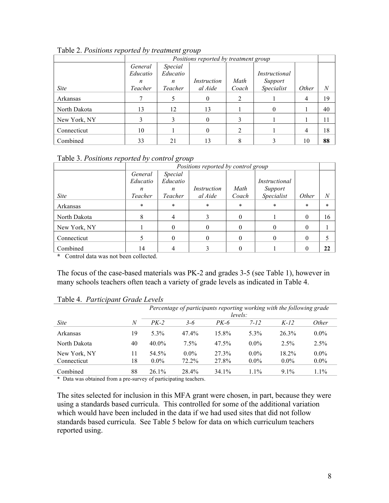|              |          |          | Positions reported by treatment group |       |               |                |    |
|--------------|----------|----------|---------------------------------------|-------|---------------|----------------|----|
|              | General  | Special  |                                       |       |               |                |    |
|              | Educatio | Educatio |                                       |       | Instructional |                |    |
|              | n        | n        | Instruction                           | Math  | Support       |                |    |
| <i>Site</i>  | Teacher  | Teacher  | al Aide                               | Coach | Specialist    | Other          | N  |
| Arkansas     |          |          | $\theta$                              | 2     |               | $\overline{4}$ | 19 |
| North Dakota | 13       | 12       | 13                                    |       | 0             |                | 40 |
| New York, NY | 3        |          | $\Omega$                              |       |               |                | 11 |
| Connecticut  | 10       |          | $\Omega$                              | 2     |               | 4              | 18 |
| Combined     | 33       | 21       | 13                                    |       |               | 10             | 88 |

Table 2. *Positions reported by treatment group*

|  | Table 3. Positions reported by control group |  |
|--|----------------------------------------------|--|
|  |                                              |  |

|              |          |          | Positions reported by control group |        |               |        |                |
|--------------|----------|----------|-------------------------------------|--------|---------------|--------|----------------|
|              | General  | Special  |                                     |        |               |        |                |
|              | Educatio | Educatio |                                     |        | Instructional |        |                |
|              | n        | n        | Instruction                         | Math   | Support       |        |                |
| <i>Site</i>  | Teacher  | Teacher  | al Aide                             | Coach  | Specialist    | Other  | $\overline{N}$ |
| Arkansas     | $\ast$   | $\star$  | $\ast$                              | $\ast$ | $\ast$        | $\ast$ | $\ast$         |
| North Dakota |          |          |                                     | 0      |               | 0      | 16             |
| New York, NY |          |          | $\Omega$                            |        | 0             | 0      |                |
| Connecticut  |          |          | $\Omega$                            |        | 0             | 0      |                |
| Combined     | 14       |          |                                     |        |               |        | 22             |

**\*** Control data was not been collected.

The focus of the case-based materials was PK-2 and grades 3-5 (see Table 1), however in many schools teachers often teach a variety of grade levels as indicated in Table 4.

|              |         |          |         |        |          | Percentage of participants reporting working with the following grade |         |  |
|--------------|---------|----------|---------|--------|----------|-----------------------------------------------------------------------|---------|--|
|              | levels: |          |         |        |          |                                                                       |         |  |
| <i>Site</i>  | N       | $PK-2$   | $3 - 6$ | $PK-6$ | $7 - 12$ | $K-12$                                                                | Other   |  |
| Arkansas     | 19      | $5.3\%$  | 47.4%   | 15.8%  | $5.3\%$  | $26.3\%$                                                              | $0.0\%$ |  |
| North Dakota | 40      | $40.0\%$ | $7.5\%$ | 47.5%  | $0.0\%$  | $2.5\%$                                                               | 2.5%    |  |
| New York, NY | 11      | 54.5%    | $0.0\%$ | 27.3%  | $0.0\%$  | 18.2%                                                                 | $0.0\%$ |  |
| Connecticut  | 18      | $0.0\%$  | 72.2%   | 27.8%  | $0.0\%$  | $0.0\%$                                                               | $0.0\%$ |  |
| Combined     | 88      | $26.1\%$ | 28.4%   | 34.1%  | $1.1\%$  | $9.1\%$                                                               | $1.1\%$ |  |

### Table 4. *Participant Grade Levels*

\* Data was obtained from a pre-survey of participating teachers.

The sites selected for inclusion in this MFA grant were chosen, in part, because they were using a standards based curricula. This controlled for some of the additional variation which would have been included in the data if we had used sites that did not follow standards based curricula. See Table 5 below for data on which curriculum teachers reported using.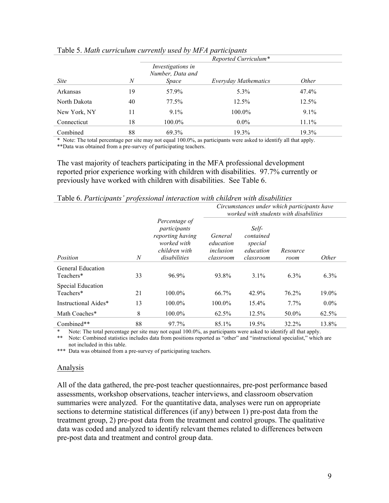|              |    |                                       | Reported Curriculum* |              |  |
|--------------|----|---------------------------------------|----------------------|--------------|--|
|              |    | Investigations in<br>Number, Data and |                      |              |  |
| <i>Site</i>  | N  | <i>Space</i>                          | Everyday Mathematics | <i>Other</i> |  |
| Arkansas     | 19 | 57.9%                                 | 5.3%                 | 47.4%        |  |
| North Dakota | 40 | 77.5%                                 | 12.5%                | 12.5%        |  |
| New York, NY | 11 | $9.1\%$                               | 100.0%               | $9.1\%$      |  |
| Connecticut  | 18 | 100.0%                                | $0.0\%$              | 11.1%        |  |
| Combined     | 88 | 69.3%                                 | 19.3%                | 19.3%        |  |

#### Table 5. *Math curriculum currently used by MFA participants*

\* Note: The total percentage per site may not equal 100.0%, as participants were asked to identify all that apply. \*\*Data was obtained from a pre-survey of participating teachers.

The vast majority of teachers participating in the MFA professional development reported prior experience working with children with disabilities. 97.7% currently or previously have worked with children with disabilities. See Table 6.

|                                       |    |                                                                                                   | Circumstances under which participants have<br>worked with students with disabilities |                                                         |                  |              |  |  |
|---------------------------------------|----|---------------------------------------------------------------------------------------------------|---------------------------------------------------------------------------------------|---------------------------------------------------------|------------------|--------------|--|--|
| Position                              | N  | Percentage of<br>participants<br>reporting having<br>worked with<br>children with<br>disabilities | General<br>education<br>inclusion<br>classroom                                        | Self-<br>contained<br>special<br>education<br>classroom | Resource<br>room | <i>Other</i> |  |  |
| <b>General Education</b><br>Teachers* | 33 | 96.9%                                                                                             | 93.8%                                                                                 | $3.1\%$                                                 | $6.3\%$          | $6.3\%$      |  |  |
| Special Education<br>Teachers*        | 21 | 100.0%                                                                                            | 66.7%                                                                                 | 42.9%                                                   | 76.2%            | 19.0%        |  |  |
| Instructional Aides*                  | 13 | 100.0%                                                                                            | 100.0%                                                                                | 15.4%                                                   | $7.7\%$          | $0.0\%$      |  |  |
| Math Coaches*                         | 8  | 100.0%                                                                                            | 62.5%                                                                                 | 12.5%                                                   | 50.0%            | 62.5%        |  |  |
| Combined**                            | 88 | 97.7%                                                                                             | 85.1%                                                                                 | 19.5%                                                   | 32.2%            | 13.8%        |  |  |

Table 6. *Participants' professional interaction with children with disabilities*

Note: The total percentage per site may not equal 100.0%, as participants were asked to identify all that apply.

\*\* Note: Combined statistics includes data from positions reported as "other" and "instructional specialist," which are not included in this table.

\*\*\* Data was obtained from a pre-survey of participating teachers.

#### Analysis

All of the data gathered, the pre-post teacher questionnaires, pre-post performance based assessments, workshop observations, teacher interviews, and classroom observation summaries were analyzed. For the quantitative data, analyses were run on appropriate sections to determine statistical differences (if any) between 1) pre-post data from the treatment group, 2) pre-post data from the treatment and control groups. The qualitative data was coded and analyzed to identify relevant themes related to differences between pre-post data and treatment and control group data.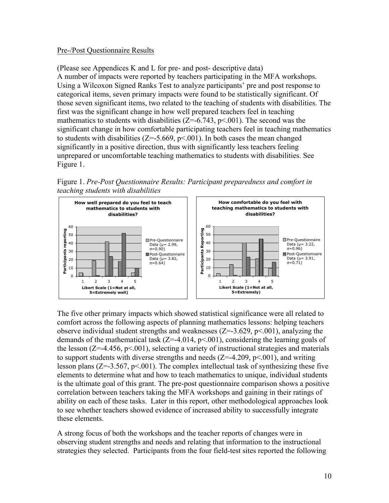## Pre-/Post Questionnaire Results

(Please see Appendices K and L for pre- and post- descriptive data) A number of impacts were reported by teachers participating in the MFA workshops. Using a Wilcoxon Signed Ranks Test to analyze participants' pre and post response to categorical items, seven primary impacts were found to be statistically significant. Of those seven significant items, two related to the teaching of students with disabilities. The first was the significant change in how well prepared teachers feel in teaching mathematics to students with disabilities  $(Z=-6.743, p<0.01)$ . The second was the significant change in how comfortable participating teachers feel in teaching mathematics to students with disabilities ( $Z = -5.669$ ,  $p < .001$ ). In both cases the mean changed significantly in a positive direction, thus with significantly less teachers feeling unprepared or uncomfortable teaching mathematics to students with disabilities. See Figure 1.

Figure 1. *Pre-Post Questionnaire Results: Participant preparedness and comfort in teaching students with disabilities*



The five other primary impacts which showed statistical significance were all related to comfort across the following aspects of planning mathematics lessons: helping teachers observe individual student strengths and weaknesses  $(Z=3.629, p<.001)$ , analyzing the demands of the mathematical task  $(Z=-4.014, p<0.001)$ , considering the learning goals of the lesson  $(Z=4.456, p<.001)$ , selecting a variety of instructional strategies and materials to support students with diverse strengths and needs  $(Z=4.209, p<.001)$ , and writing lesson plans ( $Z=-3.567$ ,  $p<001$ ). The complex intellectual task of synthesizing these five elements to determine what and how to teach mathematics to unique, individual students is the ultimate goal of this grant. The pre-post questionnaire comparison shows a positive correlation between teachers taking the MFA workshops and gaining in their ratings of ability on each of these tasks. Later in this report, other methodological approaches look to see whether teachers showed evidence of increased ability to successfully integrate these elements.

A strong focus of both the workshops and the teacher reports of changes were in observing student strengths and needs and relating that information to the instructional strategies they selected. Participants from the four field-test sites reported the following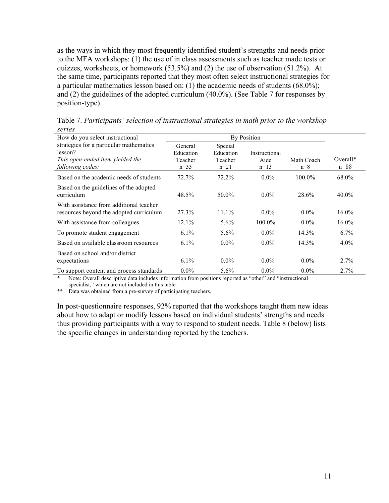as the ways in which they most frequently identified student's strengths and needs prior to the MFA workshops: (1) the use of in class assessments such as teacher made tests or quizzes, worksheets, or homework (53.5%) and (2) the use of observation (51.2%). At the same time, participants reported that they most often select instructional strategies for a particular mathematics lesson based on: (1) the academic needs of students (68.0%); and (2) the guidelines of the adopted curriculum (40.0%). (See Table 7 for responses by position-type).

Table 7. *Participants' selection of instructional strategies in math prior to the workshop series*

| How do you select instructional                                                        |                                 |                                 |                       |            |           |
|----------------------------------------------------------------------------------------|---------------------------------|---------------------------------|-----------------------|------------|-----------|
| strategies for a particular mathematics<br>lesson?<br>This open-ended item yielded the | General<br>Education<br>Teacher | Special<br>Education<br>Teacher | Instructional<br>Aide | Math Coach | $Overal*$ |
| following codes:                                                                       | $n=33$                          | $n=21$                          | $n=13$                | $n=8$      | $n = 88$  |
| Based on the academic needs of students                                                | 72.7%                           | 72.2%                           | $0.0\%$               | $100.0\%$  | 68.0%     |
| Based on the guidelines of the adopted<br>curriculum                                   | 48.5%                           | 50.0%                           | $0.0\%$               | 28.6%      | $40.0\%$  |
| With assistance from additional teacher<br>resources beyond the adopted curriculum     | 27.3%                           | $11.1\%$                        | $0.0\%$               | $0.0\%$    | $16.0\%$  |
| With assistance from colleagues                                                        | $12.1\%$                        | $5.6\%$                         | $100.0\%$             | $0.0\%$    | $16.0\%$  |
| To promote student engagement                                                          | $6.1\%$                         | $5.6\%$                         | $0.0\%$               | 14.3%      | $6.7\%$   |
| Based on available classroom resources                                                 | $6.1\%$                         | $0.0\%$                         | $0.0\%$               | 14.3%      | $4.0\%$   |
| Based on school and/or district<br>expectations                                        | $6.1\%$                         | $0.0\%$                         | $0.0\%$               | $0.0\%$    | 2.7%      |
| To support content and process standards                                               | $0.0\%$                         | $5.6\%$                         | $0.0\%$               | $0.0\%$    | 2.7%      |

Note: Overall descriptive data includes information from positions reported as "other" and "instructional specialist," which are not included in this table.

\*\* Data was obtained from a pre-survey of participating teachers.

In post-questionnaire responses, 92% reported that the workshops taught them new ideas about how to adapt or modify lessons based on individual students' strengths and needs thus providing participants with a way to respond to student needs. Table 8 (below) lists the specific changes in understanding reported by the teachers.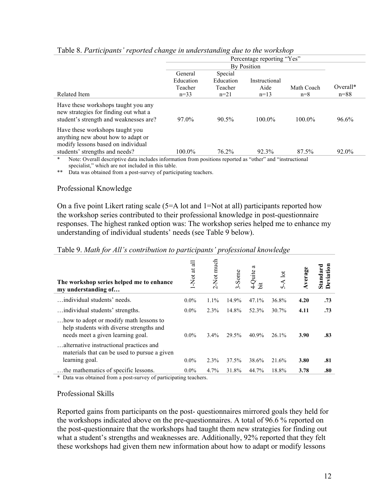|                                                                                                                        | Percentage reporting "Yes" |           |               |            |            |  |  |  |
|------------------------------------------------------------------------------------------------------------------------|----------------------------|-----------|---------------|------------|------------|--|--|--|
|                                                                                                                        |                            |           | By Position   |            |            |  |  |  |
|                                                                                                                        | General                    | Special   |               |            |            |  |  |  |
|                                                                                                                        | Education                  | Education | Instructional |            |            |  |  |  |
|                                                                                                                        | Teacher                    | Teacher   | Aide          | Math Coach | $Overall*$ |  |  |  |
| Related Item                                                                                                           | $n=33$                     | $n=21$    | $n=13$        | $n=8$      | $n = 88$   |  |  |  |
| Have these workshops taught you any<br>new strategies for finding out what a<br>student's strength and weaknesses are? | 97.0%                      | $90.5\%$  | 100.0%        | $100.0\%$  | 96.6%      |  |  |  |
| Have these workshops taught you<br>anything new about how to adapt or<br>modify lessons based on individual            |                            |           |               |            |            |  |  |  |
| students' strengths and needs?                                                                                         | $100.0\%$                  | 76.2%     | 92.3%         | 87.5%      | 92.0%      |  |  |  |

#### Table 8. *Participants' reported change in understanding due to the workshop*

Note: Overall descriptive data includes information from positions reported as "other" and "instructional specialist," which are not included in this table.

\*\* Data was obtained from a post-survey of participating teachers.

## Professional Knowledge

On a five point Likert rating scale (5=A lot and 1=Not at all) participants reported how the workshop series contributed to their professional knowledge in post-questionnaire responses. The highest ranked option was: The workshop series helped me to enhance my understanding of individual students' needs (see Table 9 below).

#### Table 9. *Math for All's contribution to participants' professional knowledge*

| The workshop series helped me to enhance<br>my understanding of                                                         | ਜ਼<br>$\overline{a}$<br>-Not | Not much-<br>$\sim$ | -Some<br>$\sim$ | ದ<br>4-Quite<br>ä | $\overline{a}$<br>$\Omega$ | $A$ verage | eviation<br>Standard |
|-------------------------------------------------------------------------------------------------------------------------|------------------------------|---------------------|-----------------|-------------------|----------------------------|------------|----------------------|
| individual students' needs.                                                                                             | $0.0\%$                      | 1.1%                | 14.9%           | 47.1%             | 36.8%                      | 4.20       | .73                  |
| individual students' strengths.                                                                                         | $0.0\%$                      | 2.3%                | 14.8%           | 52.3%             | $30.7\%$                   | 4.11       | .73                  |
| how to adopt or modify math lessons to<br>help students with diverse strengths and<br>needs meet a given learning goal. | $0.0\%$                      | $3.4\%$             | 29.5%           | 40.9%             | $26.1\%$                   | 3.90       | .83                  |
| alternative instructional practices and<br>materials that can be used to pursue a given<br>learning goal.               | $0.0\%$                      | 2.3%                | 37.5%           | 38.6%             | 21.6%                      | 3.80       | .81                  |
| the mathematics of specific lessons.                                                                                    | $0.0\%$                      | 4.7%                | 31.8%           | 44.7%             | 18.8%                      | 3.78       | .80                  |

\* Data was obtained from a post-survey of participating teachers.

#### Professional Skills

Reported gains from participants on the post- questionnaires mirrored goals they held for the workshops indicated above on the pre-questionnaires. A total of 96.6 % reported on the post-questionnaire that the workshops had taught them new strategies for finding out what a student's strengths and weaknesses are. Additionally, 92% reported that they felt these workshops had given them new information about how to adapt or modify lessons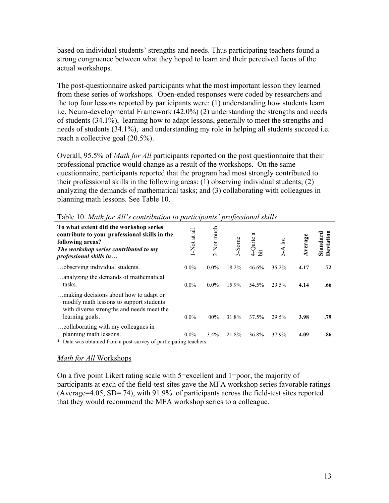based on individual students' strengths and needs. Thus participating teachers found a strong congruence between what they hoped to learn and their perceived focus of the actual workshops.

The post-questionnaire asked participants what the most important lesson they learned from these series of workshops. Open-ended responses were coded by researchers and the top four lessons reported by participants were: (1) understanding how students learn i.e. Neuro-developmental Framework (42.0%) (2) understanding the strengths and needs of students (34.1%), learning how to adapt lessons, generally to meet the strengths and needs of students (34.1%), and understanding my role in helping all students succeed i.e. reach a collective goal (20.5%).

Overall, 95.5% of *Math for All* participants reported on the post questionnaire that their professional practice would change as a result of the workshops. On the same questionnaire, participants reported that the program had most strongly contributed to their professional skills in the following areas: (1) observing individual students; (2) analyzing the demands of mathematical tasks; and (3) collaborating with colleagues in planning math lessons. See Table 10.

| To what extent did the workshop series<br>contribute to your professional skills in the<br>following areas?<br>The workshop series contributed to my<br><i>professional skills in</i> | $\overline{a}$<br>$\overline{a}$<br>$\frac{1}{2}$<br>$\overline{\phantom{0}}$ | Not much<br>$\sim$ | -Some<br>$\sim$ | ದ<br>-Quite<br>≔<br>$\circ$ | -A $lot$<br>$\Omega$ | Average | eviation<br>Standard |
|---------------------------------------------------------------------------------------------------------------------------------------------------------------------------------------|-------------------------------------------------------------------------------|--------------------|-----------------|-----------------------------|----------------------|---------|----------------------|
| observing individual students.                                                                                                                                                        | $0.0\%$                                                                       | $0.0\%$            | 18.2%           | 46.6%                       | 35.2%                | 4.17    | .72                  |
| analyzing the demands of mathematical<br>tasks.                                                                                                                                       | $0.0\%$                                                                       | $0.0\%$            | 15.9%           | 54.5%                       | 29.5%                | 4.14    | .66                  |
| making decisions about how to adapt or<br>modify math lessons to support students<br>with diverse strengths and needs meet the<br>learning goals.                                     | $0.0\%$                                                                       | $00\%$             | 31.8%           | 37.5%                       | 29.5%                | 3.98    | .79                  |
| collaborating with my colleagues in<br>planning math lessons.                                                                                                                         | $0.0\%$                                                                       | $3.4\%$            | 21.8%           | 36.8%                       | 37.9%                | 4.09    | .86                  |
| $\sim$<br>$\mathbf{a}$ . $\mathbf{b}$                                                                                                                                                 |                                                                               |                    |                 |                             |                      |         |                      |

Table 10. *Math for All's contribution to participants' professional skills*

\* Data was obtained from a post-survey of participating teachers.

#### *Math for All* Workshops

On a five point Likert rating scale with 5=excellent and 1=poor, the majority of participants at each of the field-test sites gave the MFA workshop series favorable ratings (Average=4.05, SD=.74), with 91.9% of participants across the field-test sites reported that they would recommend the MFA workshop series to a colleague.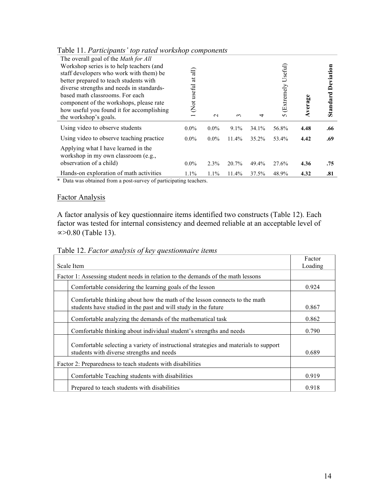| The overall goal of the <i>Math for All</i><br>Workshop series is to help teachers (and<br>staff developers who work with them) be<br>better prepared to teach students with<br>diverse strengths and needs in standards-<br>based math classrooms. For each<br>component of the workshops, please rate<br>how useful you found it for accomplishing<br>the workshop's goals. | $\widehat{\exists}$<br>$\overline{a}$<br>Not useful<br>$\overline{\phantom{0}}$ | $\mathbf{\sim}$ | $\sim$   | 4        | Useful)<br><b>Extremely</b><br>$\Omega$ | Average | Deviation<br>Standard |
|-------------------------------------------------------------------------------------------------------------------------------------------------------------------------------------------------------------------------------------------------------------------------------------------------------------------------------------------------------------------------------|---------------------------------------------------------------------------------|-----------------|----------|----------|-----------------------------------------|---------|-----------------------|
| Using video to observe students                                                                                                                                                                                                                                                                                                                                               | $0.0\%$                                                                         | $0.0\%$         | $9.1\%$  | 34.1%    | 56.8%                                   | 4.48    | .66                   |
| Using video to observe teaching practice                                                                                                                                                                                                                                                                                                                                      | $0.0\%$                                                                         | $0.0\%$         | $11.4\%$ | $35.2\%$ | 53.4%                                   | 4.42    | .69                   |
| Applying what I have learned in the<br>workshop in my own classroom (e.g.,<br>observation of a child)                                                                                                                                                                                                                                                                         | $0.0\%$                                                                         | 2.3%            | 20.7%    | 49.4%    | 27.6%                                   | 4.36    | .75                   |
| Hands-on exploration of math activities                                                                                                                                                                                                                                                                                                                                       | $1.1\%$                                                                         | $1.1\%$         | 11.4%    | 37.5%    | 48.9%                                   | 4.32    | .81                   |

Table 11. *Participants' top rated workshop components*

\* Data was obtained from a post-survey of participating teachers.

# Factor Analysis

A factor analysis of key questionnaire items identified two constructs (Table 12). Each factor was tested for internal consistency and deemed reliable at an acceptable level of  $\infty$  > 0.80 (Table 13).

|  |  |  |  | Table 12. Factor analysis of key questionnaire items |  |
|--|--|--|--|------------------------------------------------------|--|
|--|--|--|--|------------------------------------------------------|--|

|                                                                                                                                              | Factor |  |  |
|----------------------------------------------------------------------------------------------------------------------------------------------|--------|--|--|
| Scale Item                                                                                                                                   |        |  |  |
| Factor 1: Assessing student needs in relation to the demands of the math lessons                                                             |        |  |  |
| Comfortable considering the learning goals of the lesson                                                                                     | 0.924  |  |  |
| Comfortable thinking about how the math of the lesson connects to the math<br>students have studied in the past and will study in the future | 0.867  |  |  |
| Comfortable analyzing the demands of the mathematical task                                                                                   | 0.862  |  |  |
| Comfortable thinking about individual student's strengths and needs                                                                          | 0.790  |  |  |
| Comfortable selecting a variety of instructional strategies and materials to support<br>students with diverse strengths and needs            | 0.689  |  |  |
| Factor 2: Preparedness to teach students with disabilities                                                                                   |        |  |  |
| Comfortable Teaching students with disabilities                                                                                              | 0.919  |  |  |
| Prepared to teach students with disabilities                                                                                                 | 0.918  |  |  |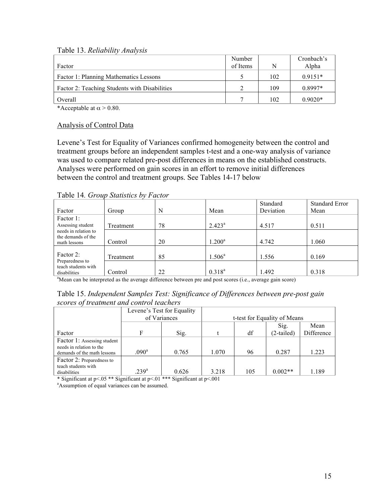Table 13. *Reliability Analysis*

|                                               | Number   |     | Cronbach's |
|-----------------------------------------------|----------|-----|------------|
| Factor                                        | of Items | N   | Alpha      |
| Factor 1: Planning Mathematics Lessons        |          | 102 | $0.9151*$  |
| Factor 2: Teaching Students with Disabilities |          | 109 | $0.8997*$  |
| Overall                                       |          | 102 | $0.9020*$  |

\*Acceptable at  $\alpha$  > 0.80.

#### Analysis of Control Data

Levene's Test for Equality of Variances confirmed homogeneity between the control and treatment groups before an independent samples t-test and a one-way analysis of variance was used to compare related pre-post differences in means on the established constructs. Analyses were performed on gain scores in an effort to remove initial differences between the control and treatment groups. See Tables 14-17 below

| Table 14. Group Statistics by Factor |  |  |
|--------------------------------------|--|--|
|--------------------------------------|--|--|

|                                            |           |    |                    | Standard  | <b>Standard Error</b> |
|--------------------------------------------|-----------|----|--------------------|-----------|-----------------------|
| Factor                                     | Group     | N  | Mean               | Deviation | Mean                  |
| Factor 1:                                  |           |    |                    |           |                       |
| Assessing student                          | Treatment | 78 | $2.423^a$          | 4.517     | 0.511                 |
| needs in relation to<br>the demands of the |           |    |                    |           |                       |
| math lessons                               | Control   | 20 | 1.200 <sup>a</sup> | 4.742     | 1.060                 |
|                                            |           |    |                    |           |                       |
| Factor 2:                                  | Treatment | 85 | $1.506^a$          | 1.556     | 0.169                 |
| Preparedness to<br>teach students with     |           |    |                    |           |                       |
| disabilities                               | Control   | 22 | $0.318^{a}$        | 1.492     | 0.318                 |

<sup>a</sup>Mean can be interpreted as the average difference between pre and post scores (i.e., average gain score)

Table 15. *Independent Samples Test: Significance of Differences between pre-post gain scores of treatment and control teachers*

|                                                         | Levene's Test for Equality |       |                              |     |            |            |
|---------------------------------------------------------|----------------------------|-------|------------------------------|-----|------------|------------|
|                                                         | of Variances               |       | t-test for Equality of Means |     |            |            |
|                                                         |                            |       |                              |     | Sig.       | Mean       |
| Factor                                                  | F                          | Sig.  |                              | df  | (2-tailed) | Difference |
| Factor 1: Assessing student                             |                            |       |                              |     |            |            |
| needs in relation to the<br>demands of the math lessons | $.090^{\rm a}$             | 0.765 | 1.070                        | 96  | 0.287      | 1.223      |
| Factor 2: Preparedness to                               |                            |       |                              |     |            |            |
| teach students with<br>disabilities                     | $239^{\rm a}$              | 0.626 | 3.218                        | 105 | $0.002**$  | 1.189      |

\* Significant at  $p < 0.05$  \*\* Significant at  $p < 0.01$  \*\*\* Significant at  $p < 0.01$ 

<sup>a</sup>Assumption of equal variances can be assumed.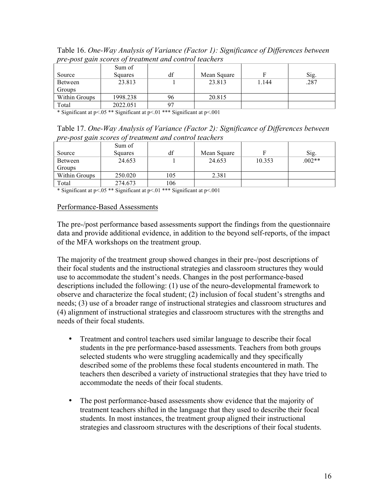|                | Sum of   |    |             |       |      |
|----------------|----------|----|-------------|-------|------|
| Source         | Squares  | df | Mean Square |       | Sig. |
| <b>Between</b> | 23.813   |    | 23.813      | . 144 | .287 |
| Groups         |          |    |             |       |      |
| Within Groups  | 1998.238 | 96 | 20.815      |       |      |
| Total          | 2022.051 |    |             |       |      |

Table 16. *One-Way Analysis of Variance (Factor 1): Significance of Differences between pre-post gain scores of treatment and control teachers*

\* Significant at p<.05 \*\* Significant at p<.01 \*\*\* Significant at p<.001

| Table 17. One-Way Analysis of Variance (Factor 2): Significance of Differences between |  |
|----------------------------------------------------------------------------------------|--|
| pre-post gain scores of treatment and control teachers                                 |  |

|               | Sum of  |     |             |        |          |
|---------------|---------|-----|-------------|--------|----------|
| Source        | Squares | df  | Mean Square | F      | Sig.     |
| Between       | 24.653  |     | 24.653      | 10.353 | $.002**$ |
| Groups        |         |     |             |        |          |
| Within Groups | 250.020 | 105 | 2.381       |        |          |
| Total         | 274.673 | 106 |             |        |          |

\* Significant at p<.05 \*\* Significant at p<.01 \*\*\* Significant at p<.001

#### Performance-Based Assessments

The pre-/post performance based assessments support the findings from the questionnaire data and provide additional evidence, in addition to the beyond self-reports, of the impact of the MFA workshops on the treatment group.

The majority of the treatment group showed changes in their pre-/post descriptions of their focal students and the instructional strategies and classroom structures they would use to accommodate the student's needs. Changes in the post performance-based descriptions included the following: (1) use of the neuro-developmental framework to observe and characterize the focal student; (2) inclusion of focal student's strengths and needs; (3) use of a broader range of instructional strategies and classroom structures and (4) alignment of instructional strategies and classroom structures with the strengths and needs of their focal students.

- Treatment and control teachers used similar language to describe their focal students in the pre performance-based assessments. Teachers from both groups selected students who were struggling academically and they specifically described some of the problems these focal students encountered in math. The teachers then described a variety of instructional strategies that they have tried to accommodate the needs of their focal students.
- The post performance-based assessments show evidence that the majority of treatment teachers shifted in the language that they used to describe their focal students. In most instances, the treatment group aligned their instructional strategies and classroom structures with the descriptions of their focal students.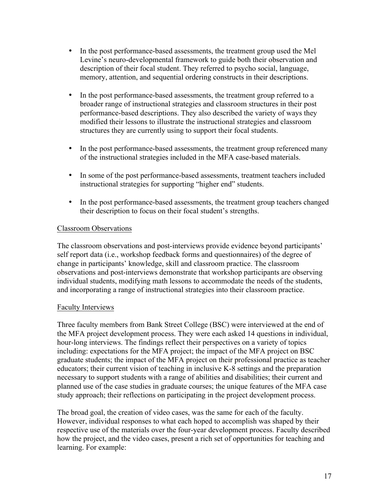- In the post performance-based assessments, the treatment group used the Mel Levine's neuro-developmental framework to guide both their observation and description of their focal student. They referred to psycho social, language, memory, attention, and sequential ordering constructs in their descriptions.
- In the post performance-based assessments, the treatment group referred to a broader range of instructional strategies and classroom structures in their post performance-based descriptions. They also described the variety of ways they modified their lessons to illustrate the instructional strategies and classroom structures they are currently using to support their focal students.
- In the post performance-based assessments, the treatment group referenced many of the instructional strategies included in the MFA case-based materials.
- In some of the post performance-based assessments, treatment teachers included instructional strategies for supporting "higher end" students.
- In the post performance-based assessments, the treatment group teachers changed their description to focus on their focal student's strengths.

# Classroom Observations

The classroom observations and post-interviews provide evidence beyond participants' self report data (i.e., workshop feedback forms and questionnaires) of the degree of change in participants' knowledge, skill and classroom practice. The classroom observations and post-interviews demonstrate that workshop participants are observing individual students, modifying math lessons to accommodate the needs of the students, and incorporating a range of instructional strategies into their classroom practice.

# Faculty Interviews

Three faculty members from Bank Street College (BSC) were interviewed at the end of the MFA project development process. They were each asked 14 questions in individual, hour-long interviews. The findings reflect their perspectives on a variety of topics including: expectations for the MFA project; the impact of the MFA project on BSC graduate students; the impact of the MFA project on their professional practice as teacher educators; their current vision of teaching in inclusive K-8 settings and the preparation necessary to support students with a range of abilities and disabilities; their current and planned use of the case studies in graduate courses; the unique features of the MFA case study approach; their reflections on participating in the project development process.

The broad goal, the creation of video cases, was the same for each of the faculty. However, individual responses to what each hoped to accomplish was shaped by their respective use of the materials over the four-year development process. Faculty described how the project, and the video cases, present a rich set of opportunities for teaching and learning. For example: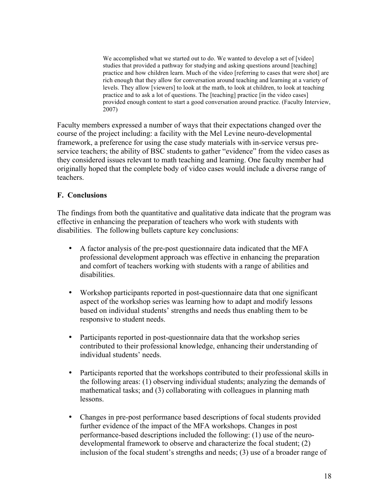We accomplished what we started out to do. We wanted to develop a set of [video] studies that provided a pathway for studying and asking questions around [teaching] practice and how children learn. Much of the video [referring to cases that were shot] are rich enough that they allow for conversation around teaching and learning at a variety of levels. They allow [viewers] to look at the math, to look at children, to look at teaching practice and to ask a lot of questions. The [teaching] practice [in the video cases] provided enough content to start a good conversation around practice. (Faculty Interview, 2007)

Faculty members expressed a number of ways that their expectations changed over the course of the project including: a facility with the Mel Levine neuro-developmental framework, a preference for using the case study materials with in-service versus preservice teachers; the ability of BSC students to gather "evidence" from the video cases as they considered issues relevant to math teaching and learning. One faculty member had originally hoped that the complete body of video cases would include a diverse range of teachers.

## **F. Conclusions**

The findings from both the quantitative and qualitative data indicate that the program was effective in enhancing the preparation of teachers who work with students with disabilities. The following bullets capture key conclusions:

- A factor analysis of the pre-post questionnaire data indicated that the MFA professional development approach was effective in enhancing the preparation and comfort of teachers working with students with a range of abilities and disabilities.
- Workshop participants reported in post-questionnaire data that one significant aspect of the workshop series was learning how to adapt and modify lessons based on individual students' strengths and needs thus enabling them to be responsive to student needs.
- Participants reported in post-questionnaire data that the workshop series contributed to their professional knowledge, enhancing their understanding of individual students' needs.
- Participants reported that the workshops contributed to their professional skills in the following areas: (1) observing individual students; analyzing the demands of mathematical tasks; and (3) collaborating with colleagues in planning math lessons.
- Changes in pre-post performance based descriptions of focal students provided further evidence of the impact of the MFA workshops. Changes in post performance-based descriptions included the following: (1) use of the neurodevelopmental framework to observe and characterize the focal student; (2) inclusion of the focal student's strengths and needs; (3) use of a broader range of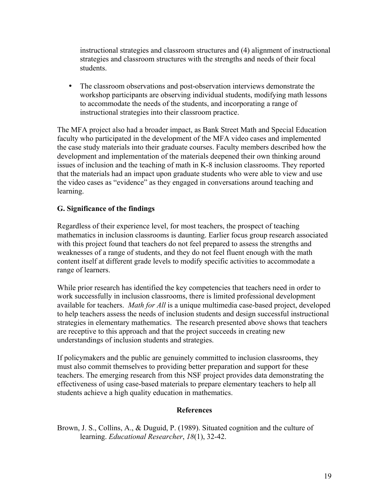instructional strategies and classroom structures and (4) alignment of instructional strategies and classroom structures with the strengths and needs of their focal students.

• The classroom observations and post-observation interviews demonstrate the workshop participants are observing individual students, modifying math lessons to accommodate the needs of the students, and incorporating a range of instructional strategies into their classroom practice.

The MFA project also had a broader impact, as Bank Street Math and Special Education faculty who participated in the development of the MFA video cases and implemented the case study materials into their graduate courses. Faculty members described how the development and implementation of the materials deepened their own thinking around issues of inclusion and the teaching of math in K-8 inclusion classrooms. They reported that the materials had an impact upon graduate students who were able to view and use the video cases as "evidence" as they engaged in conversations around teaching and learning.

# **G. Significance of the findings**

Regardless of their experience level, for most teachers, the prospect of teaching mathematics in inclusion classrooms is daunting. Earlier focus group research associated with this project found that teachers do not feel prepared to assess the strengths and weaknesses of a range of students, and they do not feel fluent enough with the math content itself at different grade levels to modify specific activities to accommodate a range of learners.

While prior research has identified the key competencies that teachers need in order to work successfully in inclusion classrooms, there is limited professional development available for teachers. *Math for All* is a unique multimedia case-based project, developed to help teachers assess the needs of inclusion students and design successful instructional strategies in elementary mathematics. The research presented above shows that teachers are receptive to this approach and that the project succeeds in creating new understandings of inclusion students and strategies.

If policymakers and the public are genuinely committed to inclusion classrooms, they must also commit themselves to providing better preparation and support for these teachers. The emerging research from this NSF project provides data demonstrating the effectiveness of using case-based materials to prepare elementary teachers to help all students achieve a high quality education in mathematics.

# **References**

Brown, J. S., Collins, A., & Duguid, P. (1989). Situated cognition and the culture of learning. *Educational Researcher*, *18*(1), 32-42.